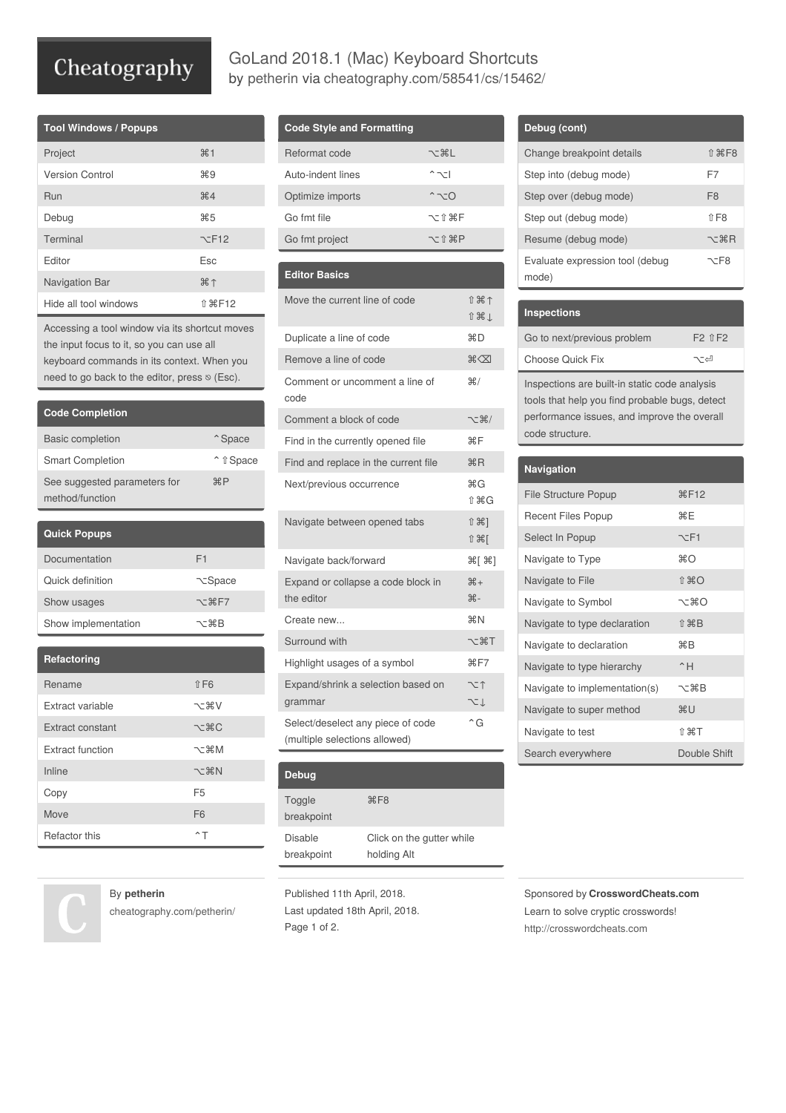# Cheatography

| <b>Tool Windows / Popups</b> |                        |
|------------------------------|------------------------|
| Project                      | #1                     |
| <b>Version Control</b>       | Ж9                     |
| Run                          | $\#4$                  |
| Debug                        | $\frac{465}{25}$       |
| Terminal                     | $\nabla$ F12           |
| Editor                       | <b>Esc</b>             |
| Navigation Bar               | $\mathcal{H} \uparrow$ |
| Hide all tool windows        | <b>介 36 F12</b>        |

Accessing a tool window via its shortcut moves the input focus to it, so you can use all keyboard commands in its context. When you need to go back to the editor, press  $\otimes$  (Esc).

| <b>Code Completion</b>                          |                                      |
|-------------------------------------------------|--------------------------------------|
| <b>Basic completion</b>                         | <sup><math>\hat{}</math></sup> Space |
| <b>Smart Completion</b>                         | <sup>↑</sup> î Space                 |
| See suggested parameters for<br>method/function | HP                                   |

| <b>Quick Popups</b> |                              |
|---------------------|------------------------------|
| Documentation       | F1                           |
| Ouick definition    | <b>N</b> Space               |
| Show usages         | $\neg$ $\pi$ $\mathbb{R}$ F7 |
| Show implementation | ヽーжB                         |

| Refactoring      |                          |
|------------------|--------------------------|
| Rename           | $0$ F <sub>6</sub>       |
| Extract variable | てまV                      |
| Extract constant | <b>ごまい</b>               |
| Extract function | ~まM                      |
| Inline           | $\neg$ $\forall$ $\Re N$ |
| Copy             | F <sub>5</sub>           |
| Move             | F <sub>6</sub>           |
| Refactor this    | ^⊤                       |

### By **petherin**

[cheatography.com/petherin/](http://www.cheatography.com/petherin/)

### **Code Style and Formatting**

| Reformat code     | ~ おし                           |
|-------------------|--------------------------------|
| Auto-indent lines | $^{\sim}$ $\sim$ $\sim$ $\sim$ |
| Optimize imports  | $^{\sim}$ $\sim$ 0             |
| Go fmt file       | 7-18HF                         |
| Go fmt project    | 7-19 第P                        |
|                   |                                |

GoLand 2018.1 (Mac) Keyboard Shortcuts by [petherin](http://www.cheatography.com/petherin/) via [cheatography.com/58541/cs/15462/](http://www.cheatography.com/petherin/cheat-sheets/goland-2018-1-mac)

#### **Editor Basics**

| Move the current line of code<br>Ⅱ米↑<br>介出」<br>HRD<br>Duplicate a line of code<br>Remove a line of code<br>$\mathbb{R}\times\mathbb{R}$<br>#/<br>Comment or uncomment a line of<br>code<br>Comment a block of code<br>て 第/<br>ЖF<br>Find in the currently opened file<br>HRR<br>Find and replace in the current file<br>ЖG<br>Next/previous occurrence<br>命 第G<br>↑ 米1<br>Navigate between opened tabs<br>1米1<br>$\mathcal{H}[\mathcal{H}]$<br>Navigate back/forward<br>$#+$<br>Expand or collapse a code block in<br>$# -$<br>the editor<br><b>XXN</b><br>Create new<br>Surround with<br>〜 まT<br>BF7<br>Highlight usages of a symbol<br>Expand/shrink a selection based on<br>てつ<br>てん<br>grammar<br>$\hat{G}$<br>Select/deselect any piece of code |                               |  |
|------------------------------------------------------------------------------------------------------------------------------------------------------------------------------------------------------------------------------------------------------------------------------------------------------------------------------------------------------------------------------------------------------------------------------------------------------------------------------------------------------------------------------------------------------------------------------------------------------------------------------------------------------------------------------------------------------------------------------------------------------|-------------------------------|--|
|                                                                                                                                                                                                                                                                                                                                                                                                                                                                                                                                                                                                                                                                                                                                                      |                               |  |
|                                                                                                                                                                                                                                                                                                                                                                                                                                                                                                                                                                                                                                                                                                                                                      |                               |  |
|                                                                                                                                                                                                                                                                                                                                                                                                                                                                                                                                                                                                                                                                                                                                                      |                               |  |
|                                                                                                                                                                                                                                                                                                                                                                                                                                                                                                                                                                                                                                                                                                                                                      |                               |  |
|                                                                                                                                                                                                                                                                                                                                                                                                                                                                                                                                                                                                                                                                                                                                                      |                               |  |
|                                                                                                                                                                                                                                                                                                                                                                                                                                                                                                                                                                                                                                                                                                                                                      |                               |  |
|                                                                                                                                                                                                                                                                                                                                                                                                                                                                                                                                                                                                                                                                                                                                                      |                               |  |
|                                                                                                                                                                                                                                                                                                                                                                                                                                                                                                                                                                                                                                                                                                                                                      |                               |  |
|                                                                                                                                                                                                                                                                                                                                                                                                                                                                                                                                                                                                                                                                                                                                                      |                               |  |
|                                                                                                                                                                                                                                                                                                                                                                                                                                                                                                                                                                                                                                                                                                                                                      |                               |  |
|                                                                                                                                                                                                                                                                                                                                                                                                                                                                                                                                                                                                                                                                                                                                                      |                               |  |
|                                                                                                                                                                                                                                                                                                                                                                                                                                                                                                                                                                                                                                                                                                                                                      |                               |  |
|                                                                                                                                                                                                                                                                                                                                                                                                                                                                                                                                                                                                                                                                                                                                                      |                               |  |
|                                                                                                                                                                                                                                                                                                                                                                                                                                                                                                                                                                                                                                                                                                                                                      |                               |  |
|                                                                                                                                                                                                                                                                                                                                                                                                                                                                                                                                                                                                                                                                                                                                                      |                               |  |
|                                                                                                                                                                                                                                                                                                                                                                                                                                                                                                                                                                                                                                                                                                                                                      |                               |  |
|                                                                                                                                                                                                                                                                                                                                                                                                                                                                                                                                                                                                                                                                                                                                                      |                               |  |
|                                                                                                                                                                                                                                                                                                                                                                                                                                                                                                                                                                                                                                                                                                                                                      |                               |  |
|                                                                                                                                                                                                                                                                                                                                                                                                                                                                                                                                                                                                                                                                                                                                                      |                               |  |
|                                                                                                                                                                                                                                                                                                                                                                                                                                                                                                                                                                                                                                                                                                                                                      |                               |  |
|                                                                                                                                                                                                                                                                                                                                                                                                                                                                                                                                                                                                                                                                                                                                                      |                               |  |
|                                                                                                                                                                                                                                                                                                                                                                                                                                                                                                                                                                                                                                                                                                                                                      | (multiple selections allowed) |  |

| Debug                 |                                          |
|-----------------------|------------------------------------------|
| Toggle<br>breakpoint  | $\frac{4}{5}$ F <sub>8</sub>             |
| Disable<br>breakpoint | Click on the gutter while<br>holding Alt |

Published 11th April, 2018. Last updated 18th April, 2018. Page 1 of 2.

| Debug (cont)                             |                                                  |
|------------------------------------------|--------------------------------------------------|
| Change breakpoint details                | $î$ $\mathbb{R}$ F <sub>8</sub>                  |
| Step into (debug mode)                   | F7                                               |
| Step over (debug mode)                   | F <sub>8</sub>                                   |
| Step out (debug mode)                    | $0$ F <sub>8</sub>                               |
| Resume (debug mode)                      | ヾ゠゚゚゚゚゚゚゚゚゚゚゚゚゠ヿ゚゚゚゚゚゚ <sup>゠</sup> ゚゚゚゚゚゚゚゚゚゚゚゠ |
| Evaluate expression tool (debug<br>mode) | ¬−F8                                             |

| <b>Inspections</b>          |                     |
|-----------------------------|---------------------|
| Go to next/previous problem | $F2$ $\hat{F}$ $F2$ |
| Choose Quick Fix            | ా∼                  |
|                             |                     |

Inspections are built-in static code analysis tools that help you find probable bugs, detect performance issues, and improve the overall code structure.

| <b>Navigation</b>             |                      |
|-------------------------------|----------------------|
| <b>File Structure Popup</b>   | RF12                 |
| Recent Files Popup            | ЖF                   |
| Select In Popup               | $\nabla$ -F1         |
| Navigate to Type              | Жറ                   |
| Navigate to File              | ⇑ 噐∩                 |
| Navigate to Symbol            | へっぱい                 |
| Navigate to type declaration  | 介 米B                 |
| Navigate to declaration       | ЖB                   |
| Navigate to type hierarchy    | $^{\circ}$ H         |
| Navigate to implementation(s) | ヾ゠゚゚゚゚゚゚゚゚゚゚゚゚゠゚゚゚゚ヿ |
| Navigate to super method      | жU                   |
| Navigate to test              | ↑ ¥T                 |
| Search everywhere             | Double Shift         |

Sponsored by **CrosswordCheats.com** Learn to solve cryptic crosswords! <http://crosswordcheats.com>